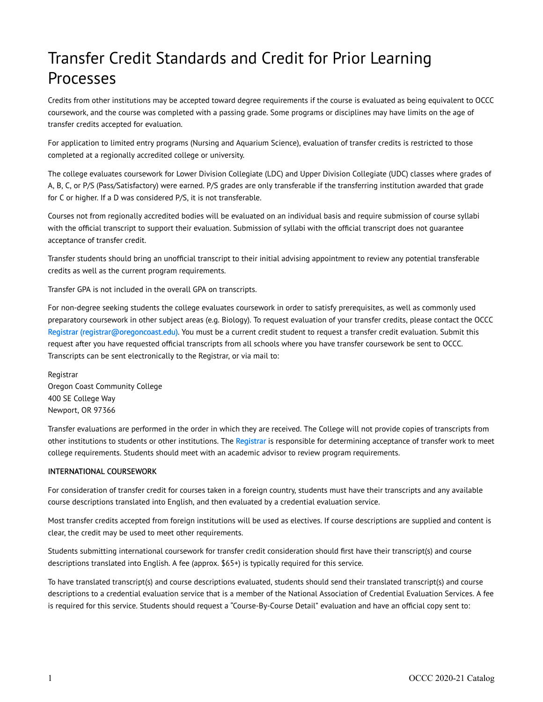# Transfer Credit Standards and Credit for Prior Learning **Processes**

Credits from other institutions may be accepted toward degree requirements if the course is evaluated as being equivalent to OCCC coursework, and the course was completed with a passing grade. Some programs or disciplines may have limits on the age of transfer credits accepted for evaluation.

For application to limited entry programs (Nursing and Aquarium Science), evaluation of transfer credits is restricted to those completed at a regionally accredited college or university.

The college evaluates coursework for Lower Division Collegiate (LDC) and Upper Division Collegiate (UDC) classes where grades of A, B, C, or P/S (Pass/Satisfactory) were earned. P/S grades are only transferable if the transferring institution awarded that grade for C or higher. If a D was considered P/S, it is not transferable.

Courses not from regionally accredited bodies will be evaluated on an individual basis and require submission of course syllabi with the official transcript to support their evaluation. Submission of syllabi with the official transcript does not guarantee acceptance of transfer credit.

Transfer students should bring an unofficial transcript to their initial advising appointment to review any potential transferable credits as well as the current program requirements.

Transfer GPA is not included in the overall GPA on transcripts.

For non-degree seeking students the college evaluates coursework in order to satisfy prerequisites, as well as commonly used preparatory coursework in other subject areas (e.g. Biology). To request evaluation of your transfer credits, please contact the OCCC Registrar (re[gistrar@oregoncoast.edu\).](https://live-occc20.pantheonsite.io/registrar@oregoncoast.edu) You must be a current credit student to request a transfer credit evaluation. Submit this request after you have requested official transcripts from all schools where you have transfer coursework be sent to OCCC. Transcripts can be sent electronically to the Registrar, or via mail to:

Registrar Oregon Coast Community College 400 SE College Way Newport, OR 97366

Transfer evaluations are performed in the order in which they are received. The College will not provide copies of transcripts from other institutions to students or other institutions. The [Registrar](mailto:registrar@oregoncoast.edu) is responsible for determining acceptance of transfer work to meet college requirements. Students should meet with an academic advisor to review program requirements.

# INTERNATIONAL COURSEWORK

For consideration of transfer credit for courses taken in a foreign country, students must have their transcripts and any available course descriptions translated into English, and then evaluated by a credential evaluation service.

Most transfer credits accepted from foreign institutions will be used as electives. If course descriptions are supplied and content is clear, the credit may be used to meet other requirements.

Students submitting international coursework for transfer credit consideration should first have their transcript(s) and course descriptions translated into English. A fee (approx. \$65+) is typically required for this service.

To have translated transcript(s) and course descriptions evaluated, students should send their translated transcript(s) and course descriptions to a credential evaluation service that is a member of the National Association of Credential Evaluation Services. A fee is required for this service. Students should request a "Course-By-Course Detail" evaluation and have an official copy sent to: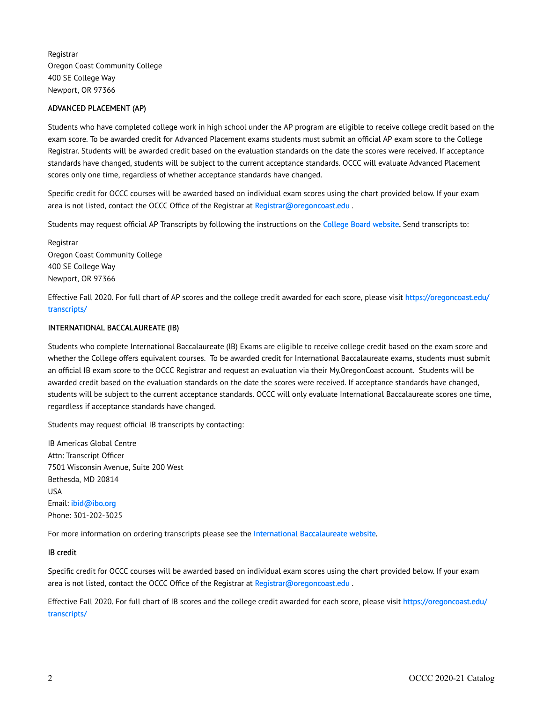Registrar Oregon Coast Community College 400 SE College Way Newport, OR 97366

## ADVANCED PLACEMENT (AP)

Students who have completed college work in high school under the AP program are eligible to receive college credit based on the exam score. To be awarded credit for Advanced Placement exams students must submit an official AP exam score to the College Registrar. Students will be awarded credit based on the evaluation standards on the date the scores were received. If acceptance standards have changed, students will be subject to the current acceptance standards. OCCC will evaluate Advanced Placement scores only one time, regardless of whether acceptance standards have changed.

Specific credit for OCCC courses will be awarded based on individual exam scores using the chart provided below. If your exam area is not listed, contact the OCCC Office of the Registrar at Re[gistrar@oregoncoast.edu](mailto:Registrar@oregoncoast.edu) .

Students may request official AP Transcripts by following the instructions on the [College Board website](http://www.collegeboard.com/student/testing/ap/exgrd_rep.html). Send transcripts to:

Registrar Oregon Coast Community College 400 SE College Way Newport, OR 97366

Effective Fall 2020. For full chart of AP scores and the college credit awarded for each score, please visit [https://oregoncoast.edu/](https://oregoncoast.edu/transcripts/) [transcripts/](https://oregoncoast.edu/transcripts/) 

#### INTERNATIONAL BACCALAUREATE (IB)

Students who complete International Baccalaureate (IB) Exams are eligible to receive college credit based on the exam score and whether the College offers equivalent courses. To be awarded credit for International Baccalaureate exams, students must submit an official IB exam score to the OCCC Registrar and request an evaluation via their My.OregonCoast account. Students will be awarded credit based on the evaluation standards on the date the scores were received. If acceptance standards have changed, students will be subject to the current acceptance standards. OCCC will only evaluate International Baccalaureate scores one time, regardless if acceptance standards have changed.

Students may request official IB transcripts by contacting:

IB Americas Global Centre Attn: Transcript Officer 7501 Wisconsin Avenue, Suite 200 West Bethesda, MD 20814 USA Email: [ibid@ibo.org](mailto:ibid@ibo.org)  Phone: 301-202-3025

For more information on ordering transcripts please see the Int[ernational Baccalaureat](https://www.ibo.org/programmes/diploma-programme/assessment-and-exams/requesting-transcripts/)e website.

#### IB credit

Specific credit for OCCC courses will be awarded based on individual exam scores using the chart provided below. If your exam area is not listed, contact the OCCC Office of the Registrar at Re[gistrar@oregoncoast.edu](mailto:Registrar@oregoncoast.edu) .

Effective Fall 2020. For full chart of IB scores and the college credit awarded for each score, please visit [https://oregoncoast.edu/](https://oregoncoast.edu/transcripts/) [transcripts/](https://oregoncoast.edu/transcripts/)